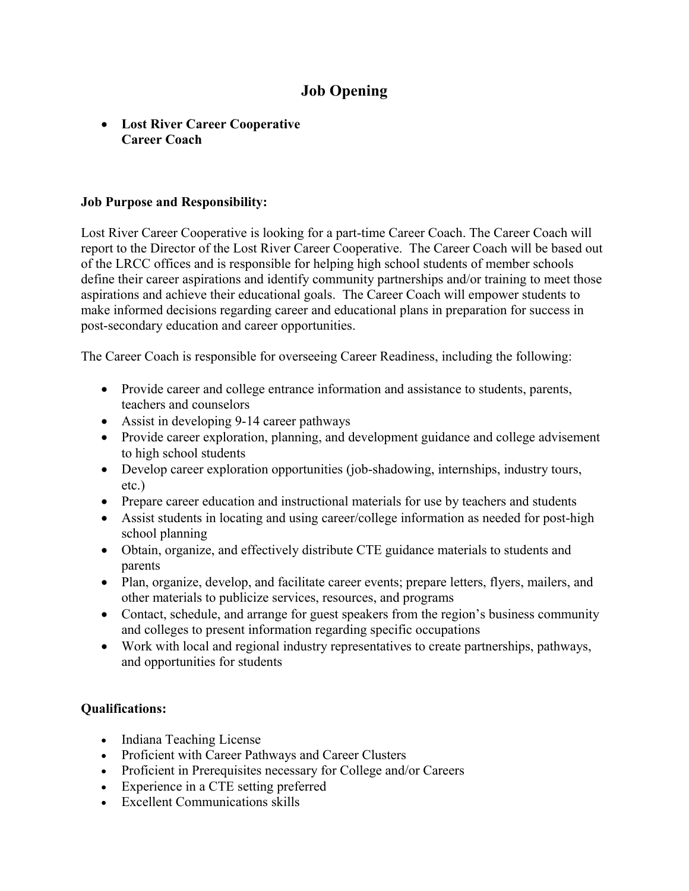# **Job Opening**

## • **Lost River Career Cooperative Career Coach**

#### **Job Purpose and Responsibility:**

Lost River Career Cooperative is looking for a part-time Career Coach. The Career Coach will report to the Director of the Lost River Career Cooperative. The Career Coach will be based out of the LRCC offices and is responsible for helping high school students of member schools define their career aspirations and identify community partnerships and/or training to meet those aspirations and achieve their educational goals. The Career Coach will empower students to make informed decisions regarding career and educational plans in preparation for success in post-secondary education and career opportunities.

The Career Coach is responsible for overseeing Career Readiness, including the following:

- Provide career and college entrance information and assistance to students, parents, teachers and counselors
- Assist in developing 9-14 career pathways
- Provide career exploration, planning, and development guidance and college advisement to high school students
- Develop career exploration opportunities (job-shadowing, internships, industry tours, etc.)
- Prepare career education and instructional materials for use by teachers and students
- Assist students in locating and using career/college information as needed for post-high school planning
- Obtain, organize, and effectively distribute CTE guidance materials to students and parents
- Plan, organize, develop, and facilitate career events; prepare letters, flyers, mailers, and other materials to publicize services, resources, and programs
- Contact, schedule, and arrange for guest speakers from the region's business community and colleges to present information regarding specific occupations
- Work with local and regional industry representatives to create partnerships, pathways, and opportunities for students

### **Qualifications:**

- Indiana Teaching License
- Proficient with Career Pathways and Career Clusters
- Proficient in Prerequisites necessary for College and/or Careers
- Experience in a CTE setting preferred
- Excellent Communications skills